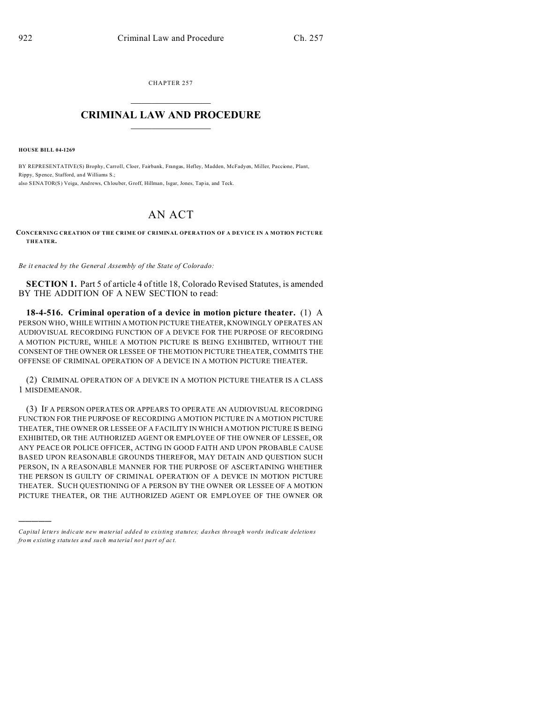CHAPTER 257  $\overline{\phantom{a}}$  , where  $\overline{\phantom{a}}$ 

## **CRIMINAL LAW AND PROCEDURE**  $\_$   $\_$   $\_$   $\_$   $\_$   $\_$   $\_$   $\_$   $\_$

**HOUSE BILL 04-1269**

)))))

BY REPRESENTATIVE(S) Brophy, Carroll, Cloer, Fairbank, Frangas, Hefley, Madden, McFadyen, Miller, Paccione, Plant, Rippy, Spence, Stafford, and Williams S.; also SENATOR(S) Veiga, And rews, Ch louber, Groff, Hillman, Isgar, Jones, Tap ia, and Teck.

## AN ACT

**CONCERNING CREATION OF THE CRIME OF CRIMINAL OPERATION OF A DEVICE IN A MOTION PICTURE THEATER.**

*Be it enacted by the General Assembly of the State of Colorado:*

**SECTION 1.** Part 5 of article 4 of title 18, Colorado Revised Statutes, is amended BY THE ADDITION OF A NEW SECTION to read:

**18-4-516. Criminal operation of a device in motion picture theater.** (1) A PERSON WHO, WHILE WITHIN A MOTION PICTURE THEATER, KNOWINGLY OPERATES AN AUDIOVISUAL RECORDING FUNCTION OF A DEVICE FOR THE PURPOSE OF RECORDING A MOTION PICTURE, WHILE A MOTION PICTURE IS BEING EXHIBITED, WITHOUT THE CONSENT OF THE OWNER OR LESSEE OF THE MOTION PICTURE THEATER, COMMITS THE OFFENSE OF CRIMINAL OPERATION OF A DEVICE IN A MOTION PICTURE THEATER.

(2) CRIMINAL OPERATION OF A DEVICE IN A MOTION PICTURE THEATER IS A CLASS 1 MISDEMEANOR.

(3) IF A PERSON OPERATES OR APPEARS TO OPERATE AN AUDIOVISUAL RECORDING FUNCTION FOR THE PURPOSE OF RECORDING A MOTION PICTURE IN A MOTION PICTURE THEATER, THE OWNER OR LESSEE OF A FACILITY IN WHICH A MOTION PICTURE IS BEING EXHIBITED, OR THE AUTHORIZED AGENT OR EMPLOYEE OF THE OWNER OF LESSEE, OR ANY PEACE OR POLICE OFFICER, ACTING IN GOOD FAITH AND UPON PROBABLE CAUSE BASED UPON REASONABLE GROUNDS THEREFOR, MAY DETAIN AND QUESTION SUCH PERSON, IN A REASONABLE MANNER FOR THE PURPOSE OF ASCERTAINING WHETHER THE PERSON IS GUILTY OF CRIMINAL OPERATION OF A DEVICE IN MOTION PICTURE THEATER. SUCH QUESTIONING OF A PERSON BY THE OWNER OR LESSEE OF A MOTION PICTURE THEATER, OR THE AUTHORIZED AGENT OR EMPLOYEE OF THE OWNER OR

*Capital letters indicate new material added to existing statutes; dashes through words indicate deletions from e xistin g statu tes a nd such ma teria l no t pa rt of ac t.*